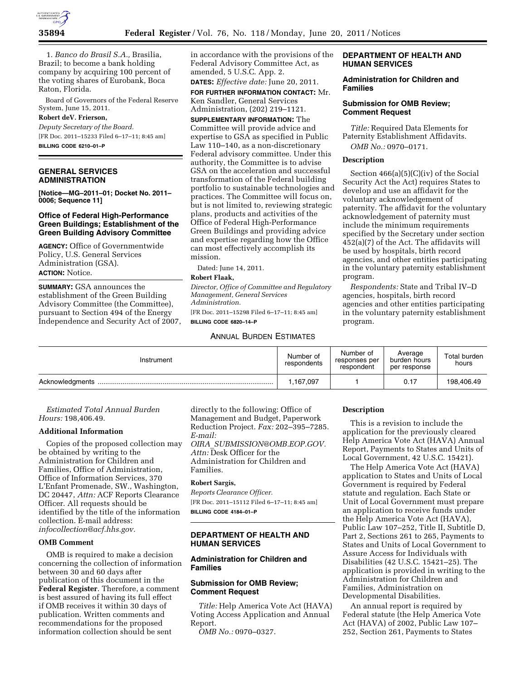

1. *Banco do Brasil S.A.,* Brasilia, Brazil; to become a bank holding company by acquiring 100 percent of the voting shares of Eurobank, Boca Raton, Florida.

Board of Governors of the Federal Reserve System, June 15, 2011.

# **Robert deV. Frierson,**

*Deputy Secretary of the Board.*  [FR Doc. 2011–15233 Filed 6–17–11; 8:45 am] **BILLING CODE 6210–01–P** 

#### **GENERAL SERVICES ADMINISTRATION**

**[Notice—MG–2011–01; Docket No. 2011– 0006; Sequence 11]** 

### **Office of Federal High-Performance Green Buildings; Establishment of the Green Building Advisory Committee**

**AGENCY:** Office of Governmentwide Policy, U.S. General Services Administration (GSA). **ACTION:** Notice.

**SUMMARY:** GSA announces the establishment of the Green Building Advisory Committee (the Committee), pursuant to Section 494 of the Energy Independence and Security Act of 2007, in accordance with the provisions of the Federal Advisory Committee Act, as amended, 5 U.S.C. App. 2.

**DATES:** *Effective date:* June 20, 2011. **FOR FURTHER INFORMATION CONTACT:** Mr. Ken Sandler, General Services Administration, (202) 219–1121.

**SUPPLEMENTARY INFORMATION:** The Committee will provide advice and expertise to GSA as specified in Public Law 110–140, as a non-discretionary Federal advisory committee. Under this authority, the Committee is to advise GSA on the acceleration and successful transformation of the Federal building portfolio to sustainable technologies and practices. The Committee will focus on, but is not limited to, reviewing strategic plans, products and activities of the Office of Federal High-Performance Green Buildings and providing advice and expertise regarding how the Office can most effectively accomplish its mission.

Dated: June 14, 2011.

## **Robert Flaak,**

*Director, Office of Committee and Regulatory Management, General Services Administration.*  [FR Doc. 2011–15298 Filed 6–17–11; 8:45 am] **BILLING CODE 6820–14–P** 

### ANNUAL BURDEN ESTIMATES

## **DEPARTMENT OF HEALTH AND HUMAN SERVICES**

#### **Administration for Children and Families**

### **Submission for OMB Review; Comment Request**

*Title:* Required Data Elements for Paternity Establishment Affidavits. *OMB No.:* 0970–0171.

### **Description**

Section 466(a)(5)(C)(iv) of the Social Security Act the Act) requires States to develop and use an affidavit for the voluntary acknowledgement of paternity. The affidavit for the voluntary acknowledgement of paternity must include the minimum requirements specified by the Secretary under section 452(a)(7) of the Act. The affidavits will be used by hospitals, birth record agencies, and other entities participating in the voluntary paternity establishment program.

*Respondents:* State and Tribal IV–D agencies, hospitals, birth record agencies and other entities participating in the voluntary paternity establishment program.

| Instrument      | Number of<br>respondents | Number of<br>responses per<br>respondent | Average<br>burden hours<br>per response | Total burden<br>hours |
|-----------------|--------------------------|------------------------------------------|-----------------------------------------|-----------------------|
| Acknowledgments | .167,097                 |                                          | 0.17                                    | 198,406.49            |

*Estimated Total Annual Burden Hours:* 198,406.49.

#### **Additional Information**

Copies of the proposed collection may be obtained by writing to the Administration for Children and Families, Office of Administration, Office of Information Services, 370 L'Enfant Promenade, SW., Washington, DC 20447, *Attn:* ACF Reports Clearance Officer. All requests should be identified by the title of the information collection. E-mail address: *[infocollection@acf.hhs.gov.](mailto:infocollection@acf.hhs.gov)* 

## **OMB Comment**

OMB is required to make a decision concerning the collection of information between 30 and 60 days after publication of this document in the **Federal Register**. Therefore, a comment is best assured of having its full effect if OMB receives it within 30 days of publication. Written comments and recommendations for the proposed information collection should be sent

directly to the following: Office of Management and Budget, Paperwork Reduction Project. *Fax:* 202–395–7285. *E-mail:* 

*OIRA*\_*[SUBMISSION@OMB.EOP.GOV.](mailto:OIRA_SUBMISSION@OMB.EOP.GOV)  Attn:* Desk Officer for the Administration for Children and Families.

#### **Robert Sargis,**

*Reports Clearance Officer.*  [FR Doc. 2011–15112 Filed 6–17–11; 8:45 am] **BILLING CODE 4184–01–P** 

### **DEPARTMENT OF HEALTH AND HUMAN SERVICES**

#### **Administration for Children and Families**

## **Submission for OMB Review; Comment Request**

*Title:* Help America Vote Act (HAVA) Voting Access Application and Annual Report.

*OMB No.:* 0970–0327.

#### **Description**

This is a revision to include the application for the previously cleared Help America Vote Act (HAVA) Annual Report, Payments to States and Units of Local Government, 42 U.S.C. 15421).

The Help America Vote Act (HAVA) application to States and Units of Local Government is required by Federal statute and regulation. Each State or Unit of Local Government must prepare an application to receive funds under the Help America Vote Act (HAVA), Public Law 107–252, Title II, Subtitle D, Part 2, Sections 261 to 265, Payments to States and Units of Local Government to Assure Access for Individuals with Disabilities (42 U.S.C. 15421–25). The application is provided in writing to the Administration for Children and Families, Administration on Developmental Disabilities.

An annual report is required by Federal statute (the Help America Vote Act (HAVA) of 2002, Public Law 107– 252, Section 261, Payments to States